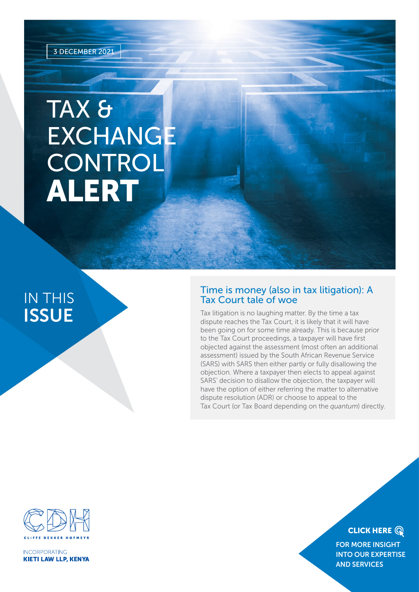# TAX & EXCHANGE **CONTROL** ALERT

# IN THIS **ISSUE**

### Time is money (also in tax litigation): A Tax Court tale of woe

Tax litigation is no laughing matter. By the time a tax dispute reaches the Tax Court, it is likely that it will have been going on for some time already. This is because prior to the Tax Court proceedings, a taxpayer will have first objected against the assessment (most often an additional assessment) issued by the South African Revenue Service (SARS) with SARS then either partly or fully disallowing the objection. Where a taxpayer then elects to appeal against SARS' decision to disallow the objection, the taxpayer will have the option of either referring the matter to alternative dispute resolution (ADR) or choose to appeal to the Tax Court (or Tax Board depending on the *quantum*) directly.



**INCORPORATING KIETI LAW LLP, KENYA** 

# **CLICK HERE Q**

FOR MORE INSIGHT [INTO OUR EXPERTISE](https://www.cliffedekkerhofmeyr.com/en/practice-areas/tax.html)  AND SERVICES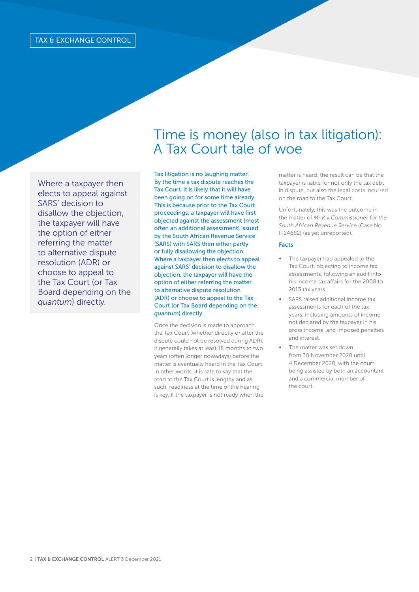Where a taxpayer then elects to appeal against SARS' decision to disallow the objection, the taxpayer will have the option of either referring the matter to alternative dispute resolution (ADR) or choose to appeal to the Tax Court (or Tax Board depending on the *quantum*) directly.

# Time is money (also in tax litigation): A Tax Court tale of woe

Tax litigation is no laughing matter. By the time a tax dispute reaches the Tax Court, it is likely that it will have been going on for some time already. This is because prior to the Tax Court proceedings, a taxpayer will have first objected against the assessment (most often an additional assessment) issued by the South African Revenue Service (SARS) with SARS then either partly or fully disallowing the objection. Where a taxpayer then elects to appeal against SARS' decision to disallow the objection, the taxpayer will have the option of either referring the matter to alternative dispute resolution (ADR) or choose to appeal to the Tax Court (or Tax Board depending on the *quantum*) directly.

Once the decision is made to approach the Tax Court (whether directly or after the dispute could not be resolved during ADR), it generally takes at least 18 months to two years (often longer nowadays) before the matter is eventually heard in the Tax Court. In other words, it is safe to say that the road to the Tax Court is lengthy and as such, readiness at the time of the hearing is key. If the taxpayer is not ready when the

matter is heard, the result can be that the taxpayer is liable for not only the tax debt in dispute, but also the legal costs incurred on the road to the Tax Court.

Unfortunately, this was the outcome in the matter of *Mr K v Commissioner for the South African Revenue Service* (Case No IT24682) (as yet unreported).

#### Facts

- The taxpayer had appealed to the Tax Court, objecting to income tax assessments, following an audit into his income tax affairs for the 2008 to 2013 tax years.
- SARS raised additional income tax assessments for each of the tax years, including amounts of income not declared by the taxpayer in his gross income, and imposed penalties and interest.
- The matter was set down from 30 November 2020 until 4 December 2020, with the court being assisted by both an accountant and a commercial member of the court.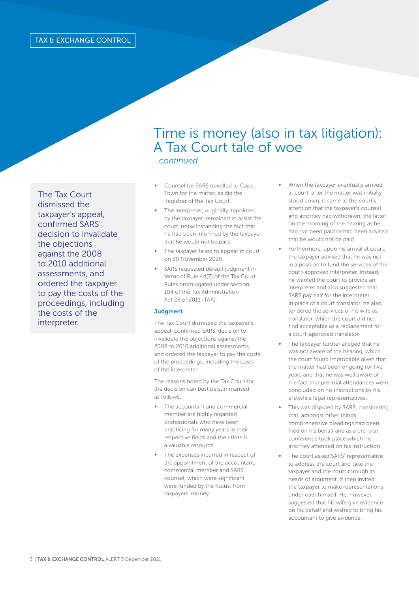The Tax Court dismissed the taxpayer's appeal, confirmed SARS' decision to invalidate the objections against the 2008 to 2010 additional assessments, and ordered the taxpayer to pay the costs of the proceedings, including the costs of the interpreter.

# Time is money (also in tax litigation): A Tax Court tale of woe *...continued*

- Counsel for SARS travelled to Cape Town for the matter, as did the Registrar of the Tax Court.
- The interpreter, originally appointed by the taxpayer, remained to assist the court, notwithstanding the fact that he had been informed by the taxpayer that he would not be paid.
- The taxpayer failed to appear in court on 30 November 2020.
- SARS requested default judgment in terms of Rule 44(7) of the Tax Court Rules promulgated under section 104 of the Tax Administration Act 28 of 2011 (TAA).

#### **Judgment**

The Tax Court dismissed the taxpayer's appeal, confirmed SARS' decision to invalidate the objections against the 2008 to 2010 additional assessments, and ordered the taxpayer to pay the costs of the proceedings, including the costs of the interpreter.

The reasons noted by the Tax Court for the decision can best be summarised as follows:

- The accountant and commercial member are highly regarded professionals who have been practicing for many years in their respective fields and their time is a valuable resource.
- The expenses incurred in respect of the appointment of the accountant, commercial member and SARS' counsel, which were significant, were funded by the fiscus, from taxpayers' money.
- When the taxpayer eventually arrived at court, after the matter was initially stood down, it came to the court's attention that the taxpayer's counsel and attorney had withdrawn, the latter on the morning of the hearing as he had not been paid or had been advised that he would not be paid.
- Furthermore, upon his arrival at court, the taxpayer advised that he was not in a position to fund the services of the court-approved interpreter. Instead, he wanted the court to provide an interpreter and also suggested that SARS pay half for the interpreter. In place of a court translator, he also tendered the services of his wife as translator, which the court did not find acceptable as a replacement for a court-approved translator.
- The taxpayer further alleged that he was not aware of the hearing, which the court found improbable given that the matter had been ongoing for five years and that he was well aware of the fact that pre-trial attendances were concluded on his instructions by his erstwhile legal representatives.
- This was disputed by SARS, considering that, amongst other things, comprehensive pleadings had been filed on his behalf and as a pre-trial conference took place which his attorney attended on his instruction.
- The court asked SARS' representative to address the court and take the taxpayer and the court through its heads of argument. It then invited the taxpayer to make representations under oath himself. He, however, suggested that his wife give evidence on his behalf and wished to bring his accountant to give evidence.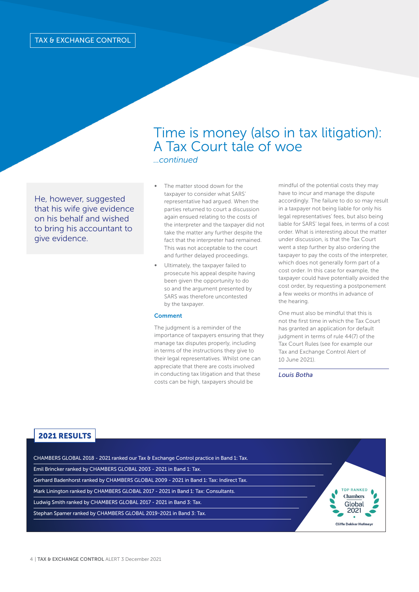# Time is money (also in tax litigation): A Tax Court tale of woe *...continued*

He, however, suggested that his wife give evidence on his behalf and wished to bring his accountant to give evidence.

- The matter stood down for the taxpayer to consider what SARS' representative had argued. When the parties returned to court a discussion again ensued relating to the costs of the interpreter and the taxpayer did not take the matter any further despite the fact that the interpreter had remained. This was not acceptable to the court and further delayed proceedings.
- ∞ Ultimately, the taxpayer failed to prosecute his appeal despite having been given the opportunity to do so and the argument presented by SARS was therefore uncontested by the taxpayer.

#### **Comment**

The judgment is a reminder of the importance of taxpayers ensuring that they manage tax disputes properly, including in terms of the instructions they give to their legal representatives. Whilst one can appreciate that there are costs involved in conducting tax litigation and that these costs can be high, taxpayers should be

mindful of the potential costs they may have to incur and manage the dispute accordingly. The failure to do so may result in a taxpayer not being liable for only his legal representatives' fees, but also being liable for SARS' legal fees, in terms of a cost order. What is interesting about the matter under discussion, is that the Tax Court went a step further by also ordering the taxpayer to pay the costs of the interpreter, which does not generally form part of a cost order. In this case for example, the taxpayer could have potentially avoided the cost order, by requesting a postponement a few weeks or months in advance of the hearing.

One must also be mindful that this is not the first time in which the Tax Court has granted an application for default judgment in terms of rule 44(7) of the Tax Court Rules (see for example our Tax and Exchange Control Alert of 10 June 2021).

*Louis Botha* 

### 2021 RESULTS

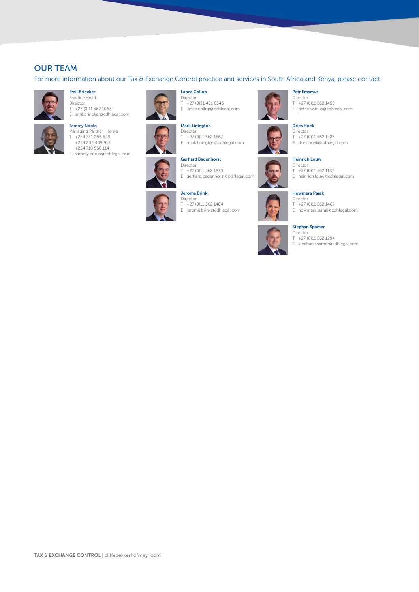## OUR TEAM

For more information about our Tax & Exchange Control practice and services in South Africa and Kenya, please contact:



#### Emil Brincker Practice Head

Director  $T +27(0)115621063$ E emil.brincker@cdhlegal.com

#### Sammy Ndolo



Managing Partner | Kenya T +254 731 086 649 +254 204 409 918 +254 710 560 114 E sammy.ndolo@cdhlegal.com



Lance Collop Director T +27 (0)21 481 6343 E lance.collop@cdhlegal.com



# Mark Linington

Director T +27 (0)11 562 1667 E mark.linington@cdhlegal.com



Gerhard Badenhorst Director T +27 (0)11 562 1870 E gerhard.badenhorst@cdhlegal.com

#### Jerome Brink



Director T +27 (0)11 562 1484 E jerome.brink@cdhlegal.com



#### Petr Erasmus Director

T +27 (0)11 562 1450 E petr.erasmus@cdhlegal.com

Dries Hoek Director

T +27 (0)11 562 1425 E dries.hoek@cdhlegal.com

#### Heinrich Louw

- Director
- T +27 (0)11 562 1187 E heinrich.louw@cdhlegal.com

#### Howmera Parak

- Director T +27 (0)11 562 1467
- E howmera.parak@cdhlegal.com

#### Stephan Spamer

**Director** T +27 (0)11 562 1294

E stephan.spamer@cdhlegal.com